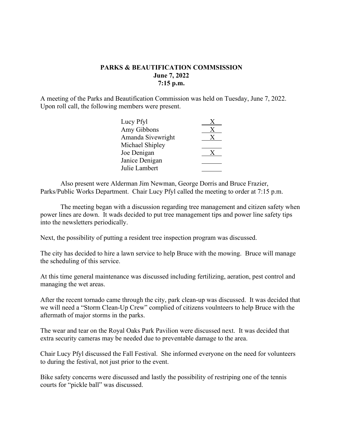## **PARKS & BEAUTIFICATION COMMSISSION June 7, 2022 7:15 p.m.**

A meeting of the Parks and Beautification Commission was held on Tuesday, June 7, 2022. Upon roll call, the following members were present.

| Lucy Pfyl         |  |
|-------------------|--|
| Amy Gibbons       |  |
| Amanda Sivewright |  |
| Michael Shipley   |  |
| Joe Denigan       |  |
| Janice Denigan    |  |
| Julie Lambert     |  |

Also present were Alderman Jim Newman, George Dorris and Bruce Frazier, Parks/Public Works Department. Chair Lucy Pfyl called the meeting to order at 7:15 p.m.

The meeting began with a discussion regarding tree management and citizen safety when power lines are down. It wads decided to put tree management tips and power line safety tips into the newsletters periodically.

Next, the possibility of putting a resident tree inspection program was discussed.

The city has decided to hire a lawn service to help Bruce with the mowing. Bruce will manage the scheduling of this service.

At this time general maintenance was discussed including fertilizing, aeration, pest control and managing the wet areas.

After the recent tornado came through the city, park clean-up was discussed. It was decided that we will need a "Storm Clean-Up Crew" complied of citizens voulnteers to help Bruce with the aftermath of major storms in the parks.

The wear and tear on the Royal Oaks Park Pavilion were discussed next. It was decided that extra security cameras may be needed due to preventable damage to the area.

Chair Lucy Pfyl discussed the Fall Festival. She informed everyone on the need for volunteers to during the festival, not just prior to the event.

Bike safety concerns were discussed and lastly the possibility of restriping one of the tennis courts for "pickle ball" was discussed.